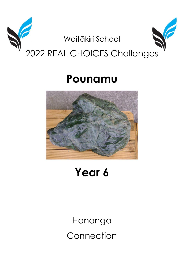

# Pounamu



## Year 6

Hononga Connection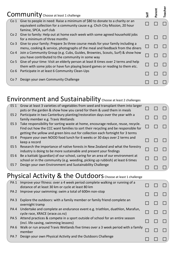|                 | Community Choose at least 1 challenge                                                                                                                                                  | 늫 | arent | eacher |
|-----------------|----------------------------------------------------------------------------------------------------------------------------------------------------------------------------------------|---|-------|--------|
| Co 1            | Give to people in need: Raise a minimum of \$80 to donate to a charity or an<br>equivalent collection for a community cause e.g. Chch City Mission, 20 hour<br>famine, SPCA, surf club |   |       |        |
|                 | Co 2 Give to family: Help out at home each week with some agreed household jobs<br>for a minimum of three months                                                                       |   |       |        |
| Co 3            | Give to your family: Prepare 3x three course meals for your family including a<br>menu, cooking & service, photographs of the meal and feedback from the diners                        |   |       |        |
| Co 4            | Join a Community Group (e.g. Cubs, Guides, Brownies, Scouts, Surf) & show how<br>you have contributed to the community in some way                                                     |   |       |        |
| Co <sub>5</sub> | Give of your time: Visit an elderly person at least 8 times over 2 terms and help<br>them with some jobs or have fun playing board games or reading to them etc.                       |   |       |        |
| Co 6            | Participate in at least 6 Community Clean-Ups                                                                                                                                          |   |       |        |
| Co 7            | Design your own Community Challenge                                                                                                                                                    |   |       |        |

#### Environment and Sustainability Choose at least 2 challenges

| ES <sub>1</sub> | Grow at least 3 varieties of vegetables from seed and transplant them into larger<br>pots or the garden & show how you cared for them & used them in meals                                                                                               |  |  |
|-----------------|----------------------------------------------------------------------------------------------------------------------------------------------------------------------------------------------------------------------------------------------------------|--|--|
| ES 2            | Participate in two Canterbury planting/restoration days over the year with a<br>family member e.g. Travis Wetlands                                                                                                                                       |  |  |
| ES <sub>3</sub> | Take responsibility for sorting waste at home, encourage reduce, reuse, recycle.<br>Find out how the CCC want families to sort their recycling and be responsible for<br>getting the yellow and green bins out for collection each fortnight for 3 terms |  |  |
| ES 4            | Prepare your own NOOD food lunch for 6 weeks or 30 days over 2 terms and<br>keep a record                                                                                                                                                                |  |  |
| ES <sub>5</sub> | Research the importance of native forests in New Zealand and what the forestry<br>industry is doing to be more sustainable and present your findings                                                                                                     |  |  |
| ES 6            | Be a kaitiaki (guardian) of our school, caring for an area of our environment at<br>school or in the community (e.g. weeding, picking up rubbish) at least 6 times                                                                                       |  |  |
| ES <sub>7</sub> | Design your own Environment and Sustainability Challenge                                                                                                                                                                                                 |  |  |

#### Physical Activity & the Outdoors Choose at least 1 challenge

| PA <sub>1</sub> | Improve your fitness: over a 4 week period complete walking or running of a<br>distance of at least 30 km or cycle at least 80 km |  |  |
|-----------------|-----------------------------------------------------------------------------------------------------------------------------------|--|--|
| PA <sub>2</sub> | Improve your swimming: swim a total of 600m non-stop                                                                              |  |  |
| PA <sub>3</sub> | Explore the outdoors: with a family member or family friend complete an<br>overnight tramp                                        |  |  |
|                 | PA 4 Undertake and complete an endurance event e.g. triathlon, duathlon, Marafun,<br>cycle race, XRACE (xrace.co.nz)              |  |  |
| PA <sub>5</sub> | Attend practices & compete in a sport outside of school for an entire season<br>(incl. life-saving, swimming lessons)             |  |  |
| PA <sub>6</sub> | Walk or run around Travis Wetlands five times over a 3 week period with a family<br>member                                        |  |  |
| PA <sub>7</sub> | Design your own Physical Activity and the Outdoors Challenge                                                                      |  |  |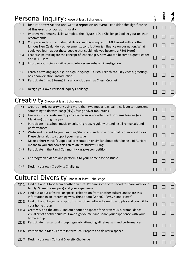|                 | Personal Inquiry Choose at least 1 challenge                                                                                                                                                                                                      | <b>Jie</b> | arent | Teacher |
|-----------------|---------------------------------------------------------------------------------------------------------------------------------------------------------------------------------------------------------------------------------------------------|------------|-------|---------|
| $PI_1$          | Be a reporter: Attend and write a report on an event - consider the significance<br>of this event for our community                                                                                                                               |            |       |         |
| PI <sub>2</sub> | Improve your maths skills: Complete the 'Figure it Out' Challenge Booklet your teacher<br>recommends                                                                                                                                              |            |       |         |
| PI <sub>3</sub> | Compare and contrast Edmund Hillary and his conquest of Mt Everest with another<br>famous New Zealander- achievements, contribution & influence on our nation. What<br>could you learn about these people that could help you become a REAL Hero? |            |       |         |
| PI 4            | Leadership: Investigate the concept of leadership & how you can become a great leader<br>and REAL Hero                                                                                                                                            |            |       |         |
| <b>PI 5</b>     | Improve your science skills- complete a science-based investigation                                                                                                                                                                               |            |       |         |
| <b>PI 6</b>     | Learn a new language, e.g. NZ Sign Language, Te Reo, French etc. (key vocab, greetings,<br>basic conversation, introduction)                                                                                                                      |            |       |         |
| PI 7            | Participate (min. 3 terms) in a school club such as Chess, Crochet                                                                                                                                                                                |            |       |         |
| <b>PI 8</b>     | Design your own Personal Inquiry Challenge                                                                                                                                                                                                        |            |       |         |
|                 | Creativit<br>Choose at least 1 challenge                                                                                                                                                                                                          |            |       |         |

| Cr <sub>1</sub> | Create an original artwork using more than two media (e.g. paint, collage) to represent<br>something to do with Rangi (sky), flying and/or mountains |  |  |
|-----------------|------------------------------------------------------------------------------------------------------------------------------------------------------|--|--|
| Cr <sub>2</sub> | Learn a musical instrument, join a dance group or attend art or drama lessons (e.g.<br>Marzipan) during the year                                     |  |  |
| Cr <sub>3</sub> | Participate in a school music or cultural group, regularly attending all rehearsals and<br>performances                                              |  |  |
| Cr <sub>4</sub> | Write and present to your Learning Studio a speech on a topic that is of interest to you<br>& use visual aids to support your message                |  |  |
| Cr <sub>5</sub> | Make a short movie/puppet pal presentation or similar about what being a REAL Hero<br>means to you and how this can relate to 'Bucket Filling'       |  |  |
| Cr <sub>6</sub> | Participate in the Rangi Community Karaoke competition                                                                                               |  |  |
| Cr <sub>7</sub> | Choreograph a dance and perform it to your home base or studio                                                                                       |  |  |
| Cr 8            | Design your own Creativity Challenge                                                                                                                 |  |  |
|                 |                                                                                                                                                      |  |  |

### Cultural Diversity Choose at least 1 challenge

| CD <sub>1</sub> | Find out about food from another culture. Prepare some of this food to share with your<br>family. Share the recipe(s) and your experience                                                 |  |  |
|-----------------|-------------------------------------------------------------------------------------------------------------------------------------------------------------------------------------------|--|--|
| CD <sub>2</sub> | Find out about a festival or special celebration from another culture and share this<br>information in an interesting way. Think about 'When?', 'Why?' and 'How?'                         |  |  |
| CD <sub>3</sub> | Find out about a game or sport from another culture. Learn how to play and teach it to<br>your home group                                                                                 |  |  |
| CD <sub>4</sub> | Creativity and the arts Find out about an aspect of the arts: Music, drama, dance,<br>visual art of another culture. Have a go yourself and share your experience with your<br>home group |  |  |
| CD <sub>5</sub> | Participate in a cultural group, regularly attending all rehearsals and performances                                                                                                      |  |  |
| CD 6            | Participate in Manu Korero in term 3/4. Prepare and deliver a speech                                                                                                                      |  |  |
| CD 7            | Design your own Cultural Diversity Challenge                                                                                                                                              |  |  |